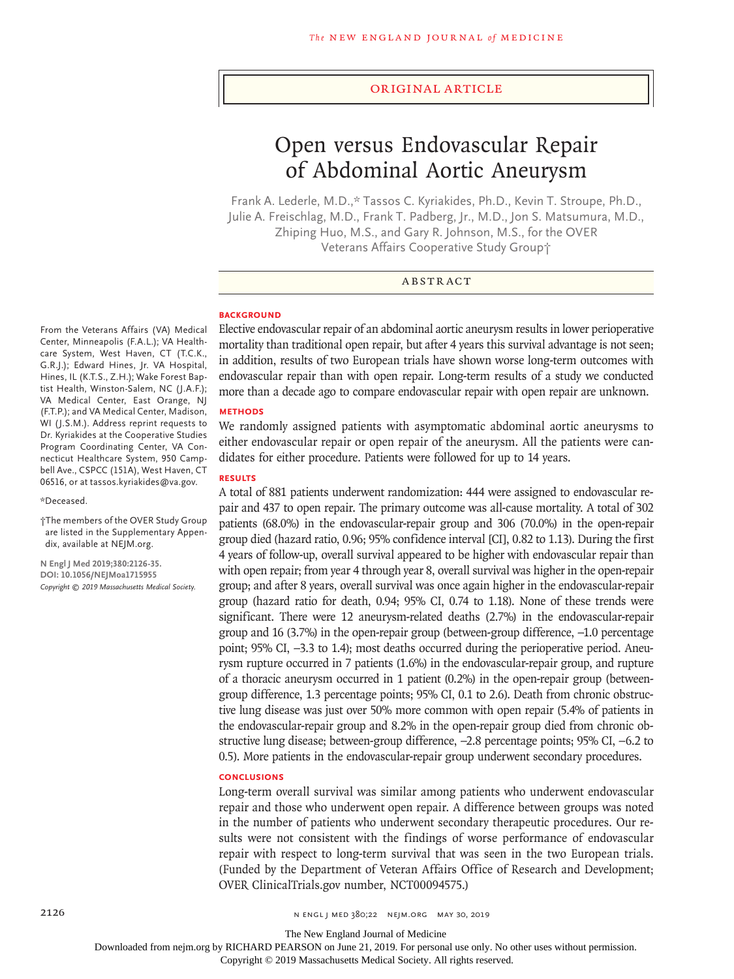#### Original Article

# Open versus Endovascular Repair of Abdominal Aortic Aneurysm

Frank A. Lederle, M.D.,\* Tassos C. Kyriakides, Ph.D., Kevin T. Stroupe, Ph.D., Julie A. Freischlag, M.D., Frank T. Padberg, Jr., M.D., Jon S. Matsumura, M.D., Zhiping Huo, M.S., and Gary R. Johnson, M.S., for the OVER Veterans Affairs Cooperative Study Group†

## ABSTRACT

#### **BACKGROUND**

From the Veterans Affairs (VA) Medical Center, Minneapolis (F.A.L.); VA Healthcare System, West Haven, CT (T.C.K., G.R.J.); Edward Hines, Jr. VA Hospital, Hines, IL (K.T.S., Z.H.); Wake Forest Baptist Health, Winston-Salem, NC (J.A.F.); VA Medical Center, East Orange, NJ (F.T.P.); and VA Medical Center, Madison, WI (J.S.M.). Address reprint requests to Dr. Kyriakides at the Cooperative Studies Program Coordinating Center, VA Connecticut Healthcare System, 950 Campbell Ave., CSPCC (151A), West Haven, CT 06516, or at tassos.kyriakides@va.gov.

#### \*Deceased.

†The members of the OVER Study Group are listed in the Supplementary Appendix, available at NEJM.org.

**N Engl J Med 2019;380:2126-35. DOI: 10.1056/NEJMoa1715955** *Copyright © 2019 Massachusetts Medical Society.* Elective endovascular repair of an abdominal aortic aneurysm results in lower perioperative mortality than traditional open repair, but after 4 years this survival advantage is not seen; in addition, results of two European trials have shown worse long-term outcomes with endovascular repair than with open repair. Long-term results of a study we conducted more than a decade ago to compare endovascular repair with open repair are unknown.

## **METHODS**

We randomly assigned patients with asymptomatic abdominal aortic aneurysms to either endovascular repair or open repair of the aneurysm. All the patients were candidates for either procedure. Patients were followed for up to 14 years.

## **RESULTS**

A total of 881 patients underwent randomization: 444 were assigned to endovascular repair and 437 to open repair. The primary outcome was all-cause mortality. A total of 302 patients (68.0%) in the endovascular-repair group and 306 (70.0%) in the open-repair group died (hazard ratio, 0.96; 95% confidence interval [CI], 0.82 to 1.13). During the first 4 years of follow-up, overall survival appeared to be higher with endovascular repair than with open repair; from year 4 through year 8, overall survival was higher in the open-repair group; and after 8 years, overall survival was once again higher in the endovascular-repair group (hazard ratio for death, 0.94; 95% CI, 0.74 to 1.18). None of these trends were significant. There were 12 aneurysm-related deaths (2.7%) in the endovascular-repair group and 16 (3.7%) in the open-repair group (between-group difference, −1.0 percentage point; 95% CI, -3.3 to 1.4); most deaths occurred during the perioperative period. Aneurysm rupture occurred in 7 patients (1.6%) in the endovascular-repair group, and rupture of a thoracic aneurysm occurred in 1 patient (0.2%) in the open-repair group (betweengroup difference, 1.3 percentage points; 95% CI, 0.1 to 2.6). Death from chronic obstructive lung disease was just over 50% more common with open repair (5.4% of patients in the endovascular-repair group and 8.2% in the open-repair group died from chronic obstructive lung disease; between-group difference, −2.8 percentage points; 95% CI, −6.2 to 0.5). More patients in the endovascular-repair group underwent secondary procedures.

#### **CONCLUSIONS**

Long-term overall survival was similar among patients who underwent endovascular repair and those who underwent open repair. A difference between groups was noted in the number of patients who underwent secondary therapeutic procedures. Our results were not consistent with the findings of worse performance of endovascular repair with respect to long-term survival that was seen in the two European trials. (Funded by the Department of Veteran Affairs Office of Research and Development; OVER ClinicalTrials.gov number, NCT00094575.)

The New England Journal of Medicine

Downloaded from nejm.org by RICHARD PEARSON on June 21, 2019. For personal use only. No other uses without permission.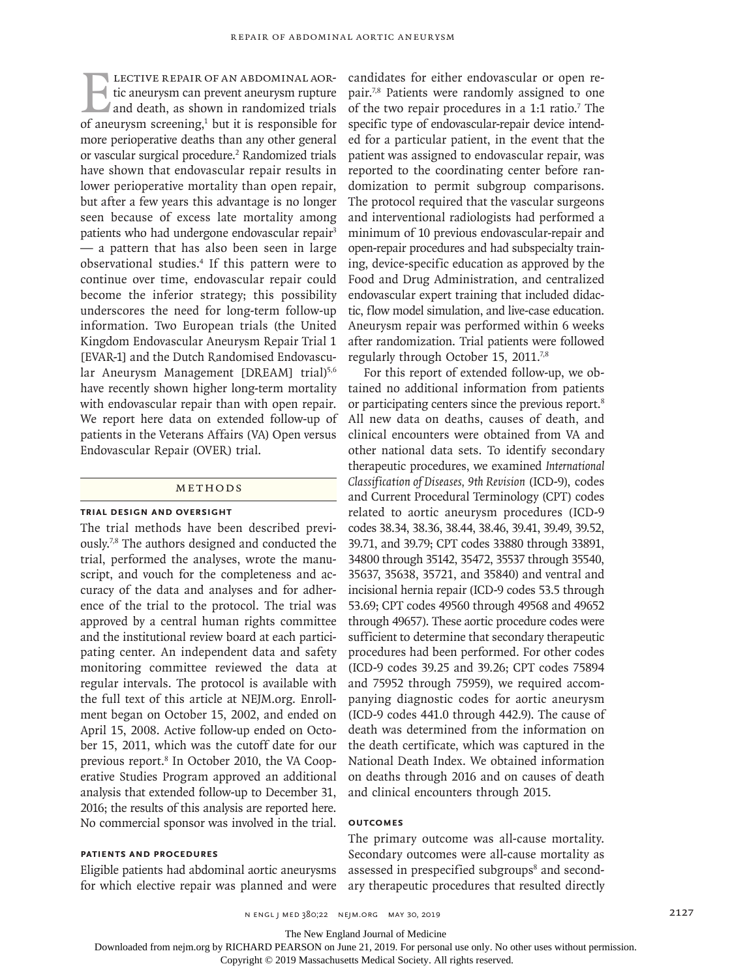LECTIVE REPAIR OF AN ABDOMINAL AOR-<br>tic aneurysm can prevent aneurysm rupture<br>and death, as shown in randomized trials<br>of aneurysm screening.<sup>1</sup> but it is responsible for tic aneurysm can prevent aneurysm rupture and death, as shown in randomized trials of aneurysm screening, $1$  but it is responsible for more perioperative deaths than any other general or vascular surgical procedure.<sup>2</sup> Randomized trials have shown that endovascular repair results in lower perioperative mortality than open repair, but after a few years this advantage is no longer seen because of excess late mortality among patients who had undergone endovascular repair<sup>3</sup> — a pattern that has also been seen in large observational studies.4 If this pattern were to continue over time, endovascular repair could become the inferior strategy; this possibility underscores the need for long-term follow-up information. Two European trials (the United Kingdom Endovascular Aneurysm Repair Trial 1 [EVAR-1] and the Dutch Randomised Endovascular Aneurysm Management [DREAM] trial)<sup>5,6</sup> have recently shown higher long-term mortality with endovascular repair than with open repair. We report here data on extended follow-up of patients in the Veterans Affairs (VA) Open versus Endovascular Repair (OVER) trial.

#### Methods

#### **Trial Design and Oversight**

The trial methods have been described previously.7,8 The authors designed and conducted the trial, performed the analyses, wrote the manuscript, and vouch for the completeness and accuracy of the data and analyses and for adherence of the trial to the protocol. The trial was approved by a central human rights committee and the institutional review board at each participating center. An independent data and safety monitoring committee reviewed the data at regular intervals. The protocol is available with the full text of this article at NEJM.org. Enrollment began on October 15, 2002, and ended on April 15, 2008. Active follow-up ended on October 15, 2011, which was the cutoff date for our previous report.<sup>8</sup> In October 2010, the VA Cooperative Studies Program approved an additional analysis that extended follow-up to December 31, 2016; the results of this analysis are reported here. No commercial sponsor was involved in the trial.

## **Patients and Procedures**

Eligible patients had abdominal aortic aneurysms for which elective repair was planned and were candidates for either endovascular or open repair.7,8 Patients were randomly assigned to one of the two repair procedures in a  $1:1$  ratio.<sup>7</sup> The specific type of endovascular-repair device intended for a particular patient, in the event that the patient was assigned to endovascular repair, was reported to the coordinating center before randomization to permit subgroup comparisons. The protocol required that the vascular surgeons and interventional radiologists had performed a minimum of 10 previous endovascular-repair and open-repair procedures and had subspecialty training, device-specific education as approved by the Food and Drug Administration, and centralized endovascular expert training that included didactic, flow model simulation, and live-case education. Aneurysm repair was performed within 6 weeks after randomization. Trial patients were followed regularly through October 15, 2011.<sup>7,8</sup>

For this report of extended follow-up, we obtained no additional information from patients or participating centers since the previous report.8 All new data on deaths, causes of death, and clinical encounters were obtained from VA and other national data sets. To identify secondary therapeutic procedures, we examined *International Classification of Diseases, 9th Revision* (ICD-9), codes and Current Procedural Terminology (CPT) codes related to aortic aneurysm procedures (ICD-9 codes 38.34, 38.36, 38.44, 38.46, 39.41, 39.49, 39.52, 39.71, and 39.79; CPT codes 33880 through 33891, 34800 through 35142, 35472, 35537 through 35540, 35637, 35638, 35721, and 35840) and ventral and incisional hernia repair (ICD-9 codes 53.5 through 53.69; CPT codes 49560 through 49568 and 49652 through 49657). These aortic procedure codes were sufficient to determine that secondary therapeutic procedures had been performed. For other codes (ICD-9 codes 39.25 and 39.26; CPT codes 75894 and 75952 through 75959), we required accompanying diagnostic codes for aortic aneurysm (ICD-9 codes 441.0 through 442.9). The cause of death was determined from the information on the death certificate, which was captured in the National Death Index. We obtained information on deaths through 2016 and on causes of death and clinical encounters through 2015.

# **Outcomes**

The primary outcome was all-cause mortality. Secondary outcomes were all-cause mortality as assessed in prespecified subgroups<sup>8</sup> and secondary therapeutic procedures that resulted directly

The New England Journal of Medicine

Downloaded from nejm.org by RICHARD PEARSON on June 21, 2019. For personal use only. No other uses without permission.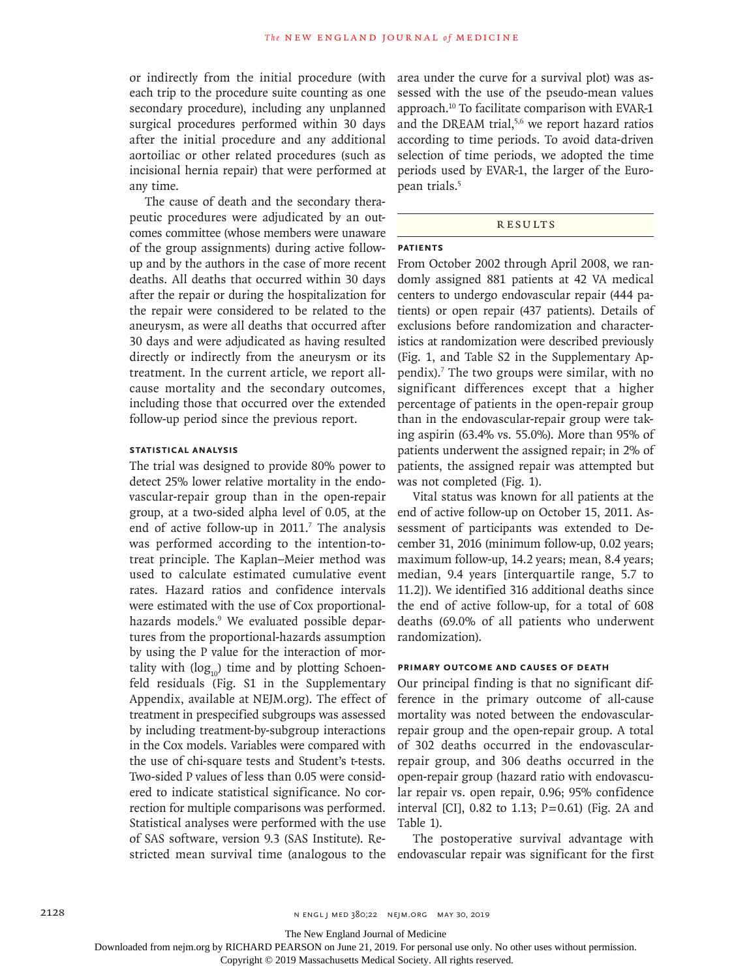or indirectly from the initial procedure (with each trip to the procedure suite counting as one secondary procedure), including any unplanned surgical procedures performed within 30 days after the initial procedure and any additional aortoiliac or other related procedures (such as incisional hernia repair) that were performed at any time.

The cause of death and the secondary therapeutic procedures were adjudicated by an outcomes committee (whose members were unaware of the group assignments) during active followup and by the authors in the case of more recent deaths. All deaths that occurred within 30 days after the repair or during the hospitalization for the repair were considered to be related to the aneurysm, as were all deaths that occurred after 30 days and were adjudicated as having resulted directly or indirectly from the aneurysm or its treatment. In the current article, we report allcause mortality and the secondary outcomes, including those that occurred over the extended follow-up period since the previous report.

## **Statistical Analysis**

The trial was designed to provide 80% power to detect 25% lower relative mortality in the endovascular-repair group than in the open-repair group, at a two-sided alpha level of 0.05, at the end of active follow-up in  $2011$ .<sup>7</sup> The analysis was performed according to the intention-totreat principle. The Kaplan–Meier method was used to calculate estimated cumulative event rates. Hazard ratios and confidence intervals were estimated with the use of Cox proportionalhazards models.<sup>9</sup> We evaluated possible departures from the proportional-hazards assumption by using the P value for the interaction of mortality with  $(\log_{10})$  time and by plotting Schoenfeld residuals (Fig. S1 in the Supplementary Appendix, available at NEJM.org). The effect of treatment in prespecified subgroups was assessed by including treatment-by-subgroup interactions in the Cox models. Variables were compared with the use of chi-square tests and Student's t-tests. Two-sided P values of less than 0.05 were considered to indicate statistical significance. No correction for multiple comparisons was performed. Statistical analyses were performed with the use of SAS software, version 9.3 (SAS Institute). Restricted mean survival time (analogous to the endovascular repair was significant for the first

area under the curve for a survival plot) was assessed with the use of the pseudo-mean values approach.10 To facilitate comparison with EVAR-1 and the DREAM trial,<sup>5,6</sup> we report hazard ratios according to time periods. To avoid data-driven selection of time periods, we adopted the time periods used by EVAR-1, the larger of the European trials.<sup>5</sup>

# Results

# **Patients**

From October 2002 through April 2008, we randomly assigned 881 patients at 42 VA medical centers to undergo endovascular repair (444 patients) or open repair (437 patients). Details of exclusions before randomization and characteristics at randomization were described previously (Fig. 1, and Table S2 in the Supplementary Appendix).7 The two groups were similar, with no significant differences except that a higher percentage of patients in the open-repair group than in the endovascular-repair group were taking aspirin (63.4% vs. 55.0%). More than 95% of patients underwent the assigned repair; in 2% of patients, the assigned repair was attempted but was not completed (Fig. 1).

Vital status was known for all patients at the end of active follow-up on October 15, 2011. Assessment of participants was extended to December 31, 2016 (minimum follow-up, 0.02 years; maximum follow-up, 14.2 years; mean, 8.4 years; median, 9.4 years [interquartile range, 5.7 to 11.2]). We identified 316 additional deaths since the end of active follow-up, for a total of 608 deaths (69.0% of all patients who underwent randomization).

# **Primary Outcome and Causes of Death**

Our principal finding is that no significant difference in the primary outcome of all-cause mortality was noted between the endovascularrepair group and the open-repair group. A total of 302 deaths occurred in the endovascularrepair group, and 306 deaths occurred in the open-repair group (hazard ratio with endovascular repair vs. open repair, 0.96; 95% confidence interval [CI], 0.82 to 1.13; P=0.61) (Fig. 2A and Table 1).

The postoperative survival advantage with

The New England Journal of Medicine

Downloaded from nejm.org by RICHARD PEARSON on June 21, 2019. For personal use only. No other uses without permission.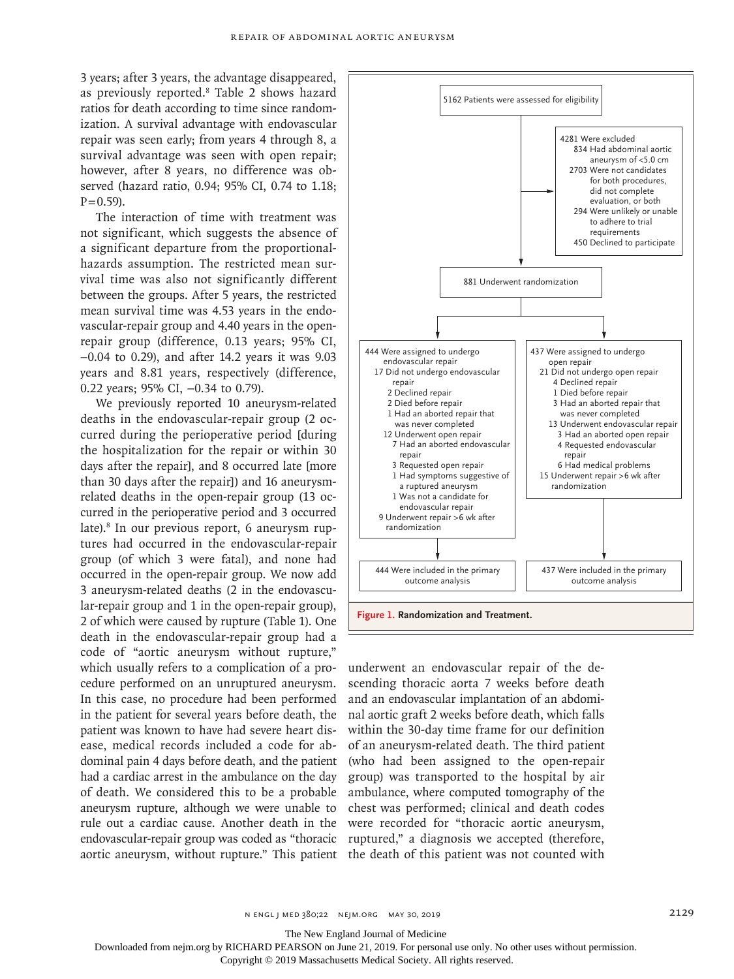3 years; after 3 years, the advantage disappeared, as previously reported.8 Table 2 shows hazard ratios for death according to time since randomization. A survival advantage with endovascular repair was seen early; from years 4 through 8, a survival advantage was seen with open repair; however, after 8 years, no difference was observed (hazard ratio, 0.94; 95% CI, 0.74 to 1.18;  $P = 0.59$ ).

The interaction of time with treatment was not significant, which suggests the absence of a significant departure from the proportionalhazards assumption. The restricted mean survival time was also not significantly different between the groups. After 5 years, the restricted mean survival time was 4.53 years in the endovascular-repair group and 4.40 years in the openrepair group (difference, 0.13 years; 95% CI, −0.04 to 0.29), and after 14.2 years it was 9.03 years and 8.81 years, respectively (difference, 0.22 years; 95% CI, −0.34 to 0.79).

We previously reported 10 aneurysm-related deaths in the endovascular-repair group (2 occurred during the perioperative period [during the hospitalization for the repair or within 30 days after the repair], and 8 occurred late [more than 30 days after the repair]) and 16 aneurysmrelated deaths in the open-repair group (13 occurred in the perioperative period and 3 occurred late).<sup>8</sup> In our previous report, 6 aneurysm ruptures had occurred in the endovascular-repair group (of which 3 were fatal), and none had occurred in the open-repair group. We now add 3 aneurysm-related deaths (2 in the endovascular-repair group and 1 in the open-repair group), 2 of which were caused by rupture (Table 1). One death in the endovascular-repair group had a code of "aortic aneurysm without rupture," which usually refers to a complication of a procedure performed on an unruptured aneurysm. In this case, no procedure had been performed in the patient for several years before death, the patient was known to have had severe heart disease, medical records included a code for abdominal pain 4 days before death, and the patient had a cardiac arrest in the ambulance on the day of death. We considered this to be a probable aneurysm rupture, although we were unable to rule out a cardiac cause. Another death in the endovascular-repair group was coded as "thoracic aortic aneurysm, without rupture." This patient the death of this patient was not counted with



underwent an endovascular repair of the descending thoracic aorta 7 weeks before death and an endovascular implantation of an abdominal aortic graft 2 weeks before death, which falls within the 30-day time frame for our definition of an aneurysm-related death. The third patient (who had been assigned to the open-repair group) was transported to the hospital by air ambulance, where computed tomography of the chest was performed; clinical and death codes were recorded for "thoracic aortic aneurysm, ruptured," a diagnosis we accepted (therefore,

The New England Journal of Medicine

Downloaded from nejm.org by RICHARD PEARSON on June 21, 2019. For personal use only. No other uses without permission.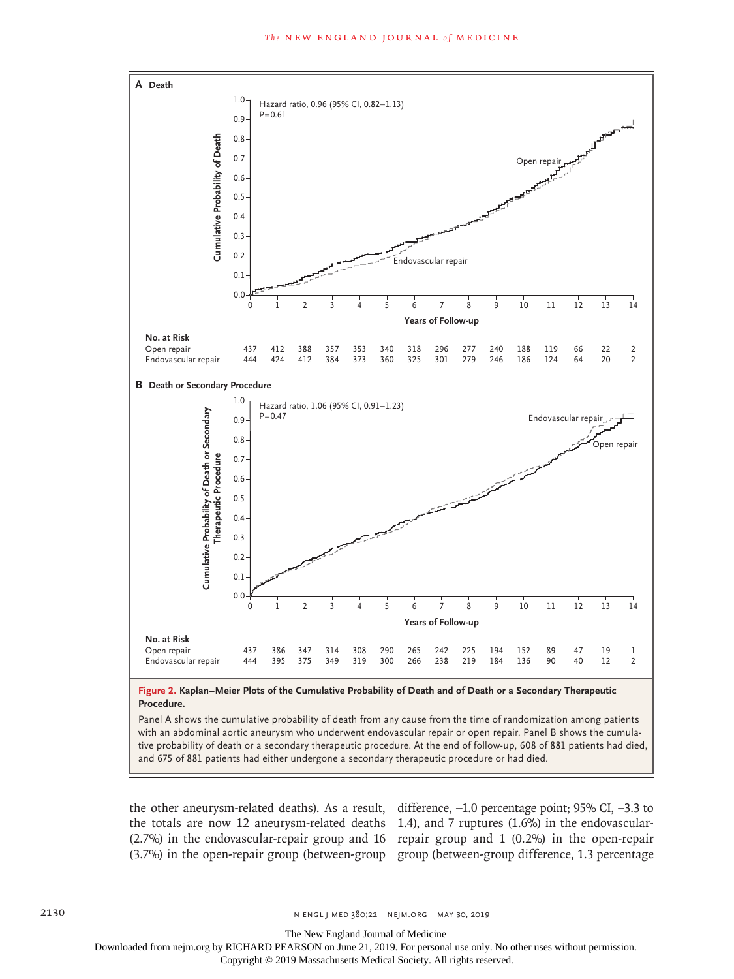

with an abdominal aortic aneurysm who underwent endovascular repair or open repair. Panel B shows the cumulative probability of death or a secondary therapeutic procedure. At the end of follow-up, 608 of 881 patients had died,

the other aneurysm-related deaths). As a result, difference, −1.0 percentage point; 95% CI, −3.3 to the totals are now 12 aneurysm-related deaths 1.4), and 7 ruptures (1.6%) in the endovascular-(2.7%) in the endovascular-repair group and 16 repair group and 1 (0.2%) in the open-repair (3.7%) in the open-repair group (between-group group (between-group difference, 1.3 percentage

2130 **n engl j med 380;22** NENGL J MED 380;22 NEJM.ORG MAY 30, 2019

The New England Journal of Medicine

Downloaded from nejm.org by RICHARD PEARSON on June 21, 2019. For personal use only. No other uses without permission.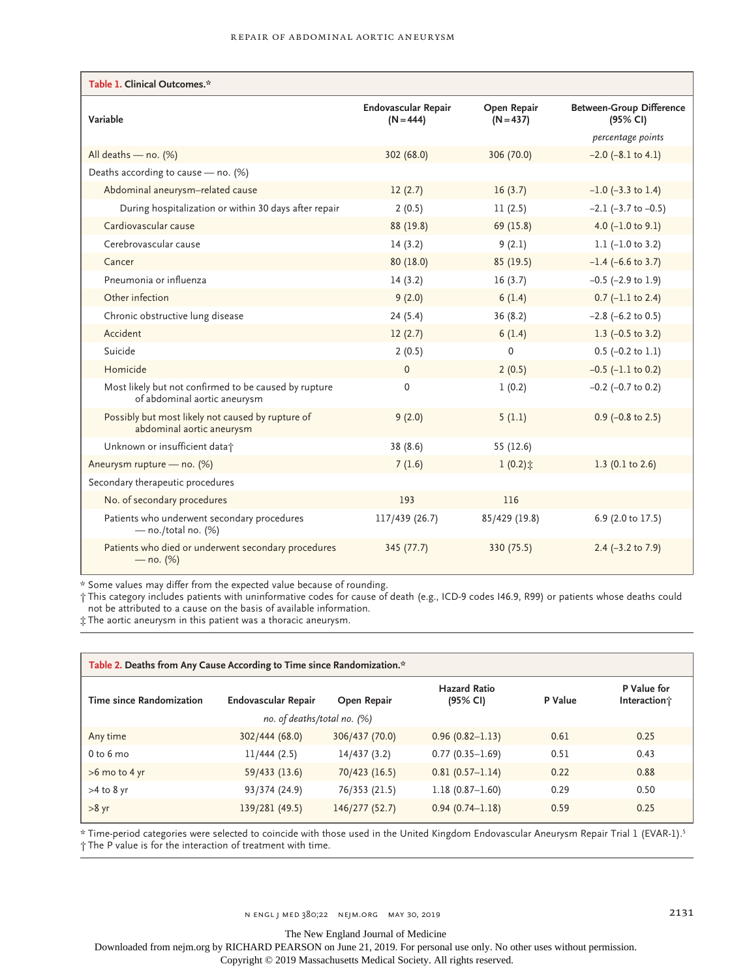| Table 1. Clinical Outcomes.*                                                          |                                           |                            |                                             |  |  |  |  |
|---------------------------------------------------------------------------------------|-------------------------------------------|----------------------------|---------------------------------------------|--|--|--|--|
| Variable                                                                              | <b>Endovascular Repair</b><br>$(N = 444)$ | Open Repair<br>$(N = 437)$ | <b>Between-Group Difference</b><br>(95% CI) |  |  |  |  |
|                                                                                       |                                           |                            | percentage points                           |  |  |  |  |
| All deaths - no. (%)                                                                  | 302(68.0)                                 | 306 (70.0)                 | $-2.0$ ( $-8.1$ to 4.1)                     |  |  |  |  |
| Deaths according to cause - no. (%)                                                   |                                           |                            |                                             |  |  |  |  |
| Abdominal aneurysm-related cause                                                      | 12(2.7)                                   | 16(3.7)                    | $-1.0$ ( $-3.3$ to 1.4)                     |  |  |  |  |
| During hospitalization or within 30 days after repair                                 | 2(0.5)                                    | 11(2.5)                    | $-2.1$ ( $-3.7$ to $-0.5$ )                 |  |  |  |  |
| Cardiovascular cause                                                                  | 88 (19.8)                                 | 69 (15.8)                  | 4.0 $(-1.0 \text{ to } 9.1)$                |  |  |  |  |
| Cerebrovascular cause                                                                 | 14(3.2)                                   | 9(2.1)                     | 1.1 $(-1.0 \text{ to } 3.2)$                |  |  |  |  |
| Cancer                                                                                | 80 (18.0)                                 | 85(19.5)                   | $-1.4$ (-6.6 to 3.7)                        |  |  |  |  |
| Pneumonia or influenza                                                                | 14(3.2)                                   | 16(3.7)                    | $-0.5$ ( $-2.9$ to 1.9)                     |  |  |  |  |
| Other infection                                                                       | 9(2.0)                                    | 6(1.4)                     | $0.7$ (-1.1 to 2.4)                         |  |  |  |  |
| Chronic obstructive lung disease                                                      | 24(5.4)                                   | 36(8.2)                    | $-2.8$ ( $-6.2$ to 0.5)                     |  |  |  |  |
| Accident                                                                              | 12(2.7)                                   | 6(1.4)                     | 1.3 $(-0.5 \text{ to } 3.2)$                |  |  |  |  |
| Suicide                                                                               | 2(0.5)                                    | $\mathbf 0$                | $0.5$ (-0.2 to 1.1)                         |  |  |  |  |
| Homicide                                                                              | $\Omega$                                  | 2(0.5)                     | $-0.5$ ( $-1.1$ to 0.2)                     |  |  |  |  |
| Most likely but not confirmed to be caused by rupture<br>of abdominal aortic aneurysm | $\mathbf 0$                               | 1(0.2)                     | $-0.2$ ( $-0.7$ to 0.2)                     |  |  |  |  |
| Possibly but most likely not caused by rupture of<br>abdominal aortic aneurysm        | 9(2.0)                                    | 5(1.1)                     | $0.9$ (-0.8 to 2.5)                         |  |  |  |  |
| Unknown or insufficient datat                                                         | 38 (8.6)                                  | 55 (12.6)                  |                                             |  |  |  |  |
| Aneurysm rupture - no. (%)                                                            | 7(1.6)                                    | $1(0.2)$ $\pm$             | 1.3 $(0.1 \text{ to } 2.6)$                 |  |  |  |  |
| Secondary therapeutic procedures                                                      |                                           |                            |                                             |  |  |  |  |
| No. of secondary procedures                                                           | 193                                       | 116                        |                                             |  |  |  |  |
| Patients who underwent secondary procedures<br>$-$ no./total no. (%)                  | 117/439 (26.7)                            | 85/429 (19.8)              | 6.9 (2.0 to 17.5)                           |  |  |  |  |
| Patients who died or underwent secondary procedures<br>$-$ no. (%)                    | 345 (77.7)                                | 330 (75.5)                 | 2.4 $(-3.2 \text{ to } 7.9)$                |  |  |  |  |

\* Some values may differ from the expected value because of rounding.

† This category includes patients with uninformative codes for cause of death (e.g., ICD-9 codes I46.9, R99) or patients whose deaths could not be attributed to a cause on the basis of available information.

‡ The aortic aneurysm in this patient was a thoracic aneurysm.

| Table 2. Deaths from Any Cause According to Time since Randomization.* |                     |                |                                 |         |                             |  |  |  |
|------------------------------------------------------------------------|---------------------|----------------|---------------------------------|---------|-----------------------------|--|--|--|
| Time since Randomization                                               | Endovascular Repair | Open Repair    | <b>Hazard Ratio</b><br>(95% CI) | P Value | P Value for<br>Interaction; |  |  |  |
| no. of deaths/total no. $(%)$                                          |                     |                |                                 |         |                             |  |  |  |
| Any time                                                               | 302/444 (68.0)      | 306/437 (70.0) | $0.96(0.82 - 1.13)$             | 0.61    | 0.25                        |  |  |  |
| 0 <sub>to</sub> 6 <sub>mo</sub>                                        | 11/444(2.5)         | 14/437 (3.2)   | $0.77(0.35 - 1.69)$             | 0.51    | 0.43                        |  |  |  |
| >6 mo to 4 yr                                                          | 59/433 (13.6)       | 70/423 (16.5)  | $0.81(0.57 - 1.14)$             | 0.22    | 0.88                        |  |  |  |
| $>4$ to 8 yr                                                           | 93/374 (24.9)       | 76/353 (21.5)  | $1.18(0.87 - 1.60)$             | 0.29    | 0.50                        |  |  |  |
| $>8$ yr                                                                | 139/281 (49.5)      | 146/277 (52.7) | $0.94(0.74 - 1.18)$             | 0.59    | 0.25                        |  |  |  |

\* Time-period categories were selected to coincide with those used in the United Kingdom Endovascular Aneurysm Repair Trial 1 (EVAR-1).5 † The P value is for the interaction of treatment with time.

The New England Journal of Medicine

Downloaded from nejm.org by RICHARD PEARSON on June 21, 2019. For personal use only. No other uses without permission.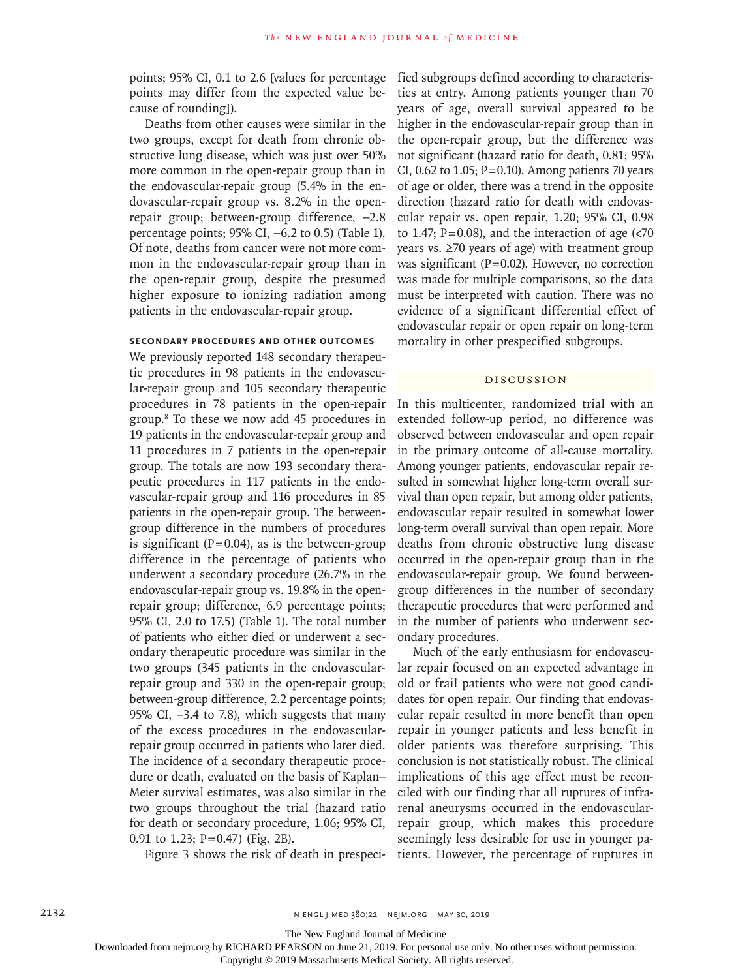points; 95% CI, 0.1 to 2.6 [values for percentage points may differ from the expected value because of rounding]).

Deaths from other causes were similar in the two groups, except for death from chronic obstructive lung disease, which was just over 50% more common in the open-repair group than in the endovascular-repair group (5.4% in the endovascular-repair group vs. 8.2% in the openrepair group; between-group difference, −2.8 percentage points; 95% CI, −6.2 to 0.5) (Table 1). Of note, deaths from cancer were not more common in the endovascular-repair group than in the open-repair group, despite the presumed higher exposure to ionizing radiation among patients in the endovascular-repair group.

# **Secondary Procedures and Other Outcomes**

We previously reported 148 secondary therapeutic procedures in 98 patients in the endovascular-repair group and 105 secondary therapeutic procedures in 78 patients in the open-repair group.8 To these we now add 45 procedures in 19 patients in the endovascular-repair group and 11 procedures in 7 patients in the open-repair group. The totals are now 193 secondary therapeutic procedures in 117 patients in the endovascular-repair group and 116 procedures in 85 patients in the open-repair group. The betweengroup difference in the numbers of procedures is significant ( $P=0.04$ ), as is the between-group difference in the percentage of patients who underwent a secondary procedure (26.7% in the endovascular-repair group vs. 19.8% in the openrepair group; difference, 6.9 percentage points; 95% CI, 2.0 to 17.5) (Table 1). The total number of patients who either died or underwent a secondary therapeutic procedure was similar in the two groups (345 patients in the endovascularrepair group and 330 in the open-repair group; between-group difference, 2.2 percentage points; 95% CI, −3.4 to 7.8), which suggests that many of the excess procedures in the endovascularrepair group occurred in patients who later died. The incidence of a secondary therapeutic procedure or death, evaluated on the basis of Kaplan– Meier survival estimates, was also similar in the two groups throughout the trial (hazard ratio for death or secondary procedure, 1.06; 95% CI, 0.91 to 1.23; P=0.47) (Fig. 2B).

Figure 3 shows the risk of death in prespeci-

fied subgroups defined according to characteristics at entry. Among patients younger than 70 years of age, overall survival appeared to be higher in the endovascular-repair group than in the open-repair group, but the difference was not significant (hazard ratio for death, 0.81; 95% CI, 0.62 to 1.05;  $P=0.10$ ). Among patients 70 years of age or older, there was a trend in the opposite direction (hazard ratio for death with endovascular repair vs. open repair, 1.20; 95% CI, 0.98 to 1.47;  $P=0.08$ ), and the interaction of age (<70 years vs. ≥70 years of age) with treatment group was significant  $(P=0.02)$ . However, no correction was made for multiple comparisons, so the data must be interpreted with caution. There was no evidence of a significant differential effect of endovascular repair or open repair on long-term mortality in other prespecified subgroups.

# Discussion

In this multicenter, randomized trial with an extended follow-up period, no difference was observed between endovascular and open repair in the primary outcome of all-cause mortality. Among younger patients, endovascular repair resulted in somewhat higher long-term overall survival than open repair, but among older patients, endovascular repair resulted in somewhat lower long-term overall survival than open repair. More deaths from chronic obstructive lung disease occurred in the open-repair group than in the endovascular-repair group. We found betweengroup differences in the number of secondary therapeutic procedures that were performed and in the number of patients who underwent secondary procedures.

Much of the early enthusiasm for endovascular repair focused on an expected advantage in old or frail patients who were not good candidates for open repair. Our finding that endovascular repair resulted in more benefit than open repair in younger patients and less benefit in older patients was therefore surprising. This conclusion is not statistically robust. The clinical implications of this age effect must be reconciled with our finding that all ruptures of infrarenal aneurysms occurred in the endovascularrepair group, which makes this procedure seemingly less desirable for use in younger patients. However, the percentage of ruptures in

The New England Journal of Medicine

Downloaded from nejm.org by RICHARD PEARSON on June 21, 2019. For personal use only. No other uses without permission.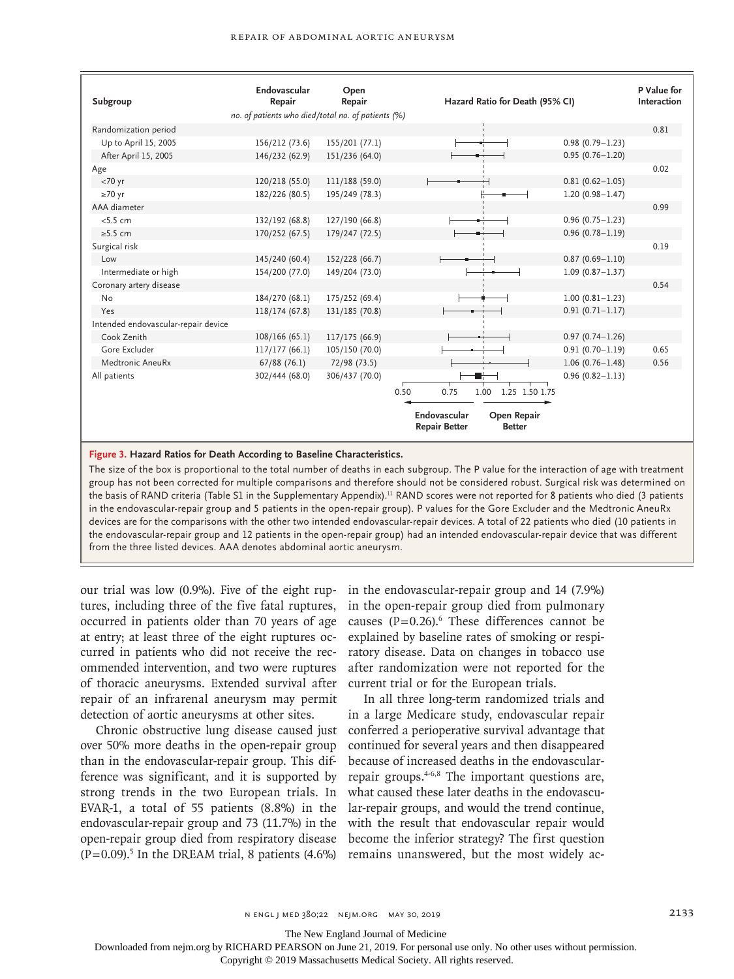| Subgroup                            | Endovascular<br>Repair                             | Open<br>Repair | Hazard Ratio for Death (95% CI)                                      |                     | P Value for<br>Interaction |
|-------------------------------------|----------------------------------------------------|----------------|----------------------------------------------------------------------|---------------------|----------------------------|
|                                     | no. of patients who died/total no. of patients (%) |                |                                                                      |                     |                            |
| Randomization period                |                                                    |                |                                                                      |                     | 0.81                       |
| Up to April 15, 2005                | 156/212 (73.6)                                     | 155/201 (77.1) |                                                                      | $0.98(0.79 - 1.23)$ |                            |
| After April 15, 2005                | 146/232 (62.9)                                     | 151/236 (64.0) |                                                                      | $0.95(0.76 - 1.20)$ |                            |
| Age                                 |                                                    |                |                                                                      |                     | 0.02                       |
| $<$ 70 yr                           | 120/218 (55.0)                                     | 111/188 (59.0) |                                                                      | $0.81(0.62 - 1.05)$ |                            |
| $\geq 70$ yr                        | 182/226 (80.5)                                     | 195/249 (78.3) |                                                                      | $1.20(0.98 - 1.47)$ |                            |
| AAA diameter                        |                                                    |                |                                                                      |                     | 0.99                       |
| < 5.5 cm                            | 132/192 (68.8)                                     | 127/190 (66.8) |                                                                      | $0.96(0.75 - 1.23)$ |                            |
| $\geq$ 5.5 cm                       | 170/252 (67.5)                                     | 179/247 (72.5) |                                                                      | $0.96(0.78 - 1.19)$ |                            |
| Surgical risk                       |                                                    |                |                                                                      |                     | 0.19                       |
| Low                                 | 145/240 (60.4)                                     | 152/228 (66.7) |                                                                      | $0.87(0.69 - 1.10)$ |                            |
| Intermediate or high                | 154/200 (77.0)                                     | 149/204 (73.0) |                                                                      | $1.09(0.87 - 1.37)$ |                            |
| Coronary artery disease             |                                                    |                |                                                                      |                     | 0.54                       |
| <b>No</b>                           | 184/270 (68.1)                                     | 175/252 (69.4) |                                                                      | $1.00(0.81 - 1.23)$ |                            |
| Yes                                 | 118/174 (67.8)                                     | 131/185 (70.8) |                                                                      | $0.91(0.71 - 1.17)$ |                            |
| Intended endovascular-repair device |                                                    |                |                                                                      |                     |                            |
| Cook Zenith                         | 108/166(65.1)                                      | 117/175 (66.9) |                                                                      | $0.97(0.74 - 1.26)$ |                            |
| Gore Excluder                       | 117/177(66.1)                                      | 105/150 (70.0) |                                                                      | $0.91(0.70 - 1.19)$ | 0.65                       |
| Medtronic AneuRx                    | $67/88$ (76.1)                                     | 72/98 (73.5)   |                                                                      | $1.06(0.76 - 1.48)$ | 0.56                       |
| All patients                        | 302/444 (68.0)                                     | 306/437 (70.0) |                                                                      | $0.96(0.82 - 1.13)$ |                            |
|                                     |                                                    |                | 0.75<br>0.50<br>1.00<br>1.25 1.50 1.75                               |                     |                            |
|                                     |                                                    |                |                                                                      |                     |                            |
|                                     |                                                    |                | Endovascular<br>Open Repair<br><b>Repair Better</b><br><b>Better</b> |                     |                            |

**Figure 3. Hazard Ratios for Death According to Baseline Characteristics.**

The size of the box is proportional to the total number of deaths in each subgroup. The P value for the interaction of age with treatment group has not been corrected for multiple comparisons and therefore should not be considered robust. Surgical risk was determined on the basis of RAND criteria (Table S1 in the Supplementary Appendix).<sup>11</sup> RAND scores were not reported for 8 patients who died (3 patients in the endovascular-repair group and 5 patients in the open-repair group). P values for the Gore Excluder and the Medtronic AneuRx devices are for the comparisons with the other two intended endovascular-repair devices. A total of 22 patients who died (10 patients in the endovascular-repair group and 12 patients in the open-repair group) had an intended endovascular-repair device that was different from the three listed devices. AAA denotes abdominal aortic aneurysm.

our trial was low (0.9%). Five of the eight ruptures, including three of the five fatal ruptures, occurred in patients older than 70 years of age at entry; at least three of the eight ruptures occurred in patients who did not receive the recommended intervention, and two were ruptures of thoracic aneurysms. Extended survival after repair of an infrarenal aneurysm may permit detection of aortic aneurysms at other sites.

Chronic obstructive lung disease caused just over 50% more deaths in the open-repair group than in the endovascular-repair group. This difference was significant, and it is supported by strong trends in the two European trials. In EVAR-1, a total of 55 patients (8.8%) in the endovascular-repair group and 73 (11.7%) in the open-repair group died from respiratory disease  $(P=0.09)$ .<sup>5</sup> In the DREAM trial, 8 patients  $(4.6%)$  remains unanswered, but the most widely ac-

in the endovascular-repair group and 14 (7.9%) in the open-repair group died from pulmonary causes  $(P=0.26)$ . These differences cannot be explained by baseline rates of smoking or respiratory disease. Data on changes in tobacco use after randomization were not reported for the current trial or for the European trials.

In all three long-term randomized trials and in a large Medicare study, endovascular repair conferred a perioperative survival advantage that continued for several years and then disappeared because of increased deaths in the endovascularrepair groups.4-6,8 The important questions are, what caused these later deaths in the endovascular-repair groups, and would the trend continue, with the result that endovascular repair would become the inferior strategy? The first question

The New England Journal of Medicine

Downloaded from nejm.org by RICHARD PEARSON on June 21, 2019. For personal use only. No other uses without permission.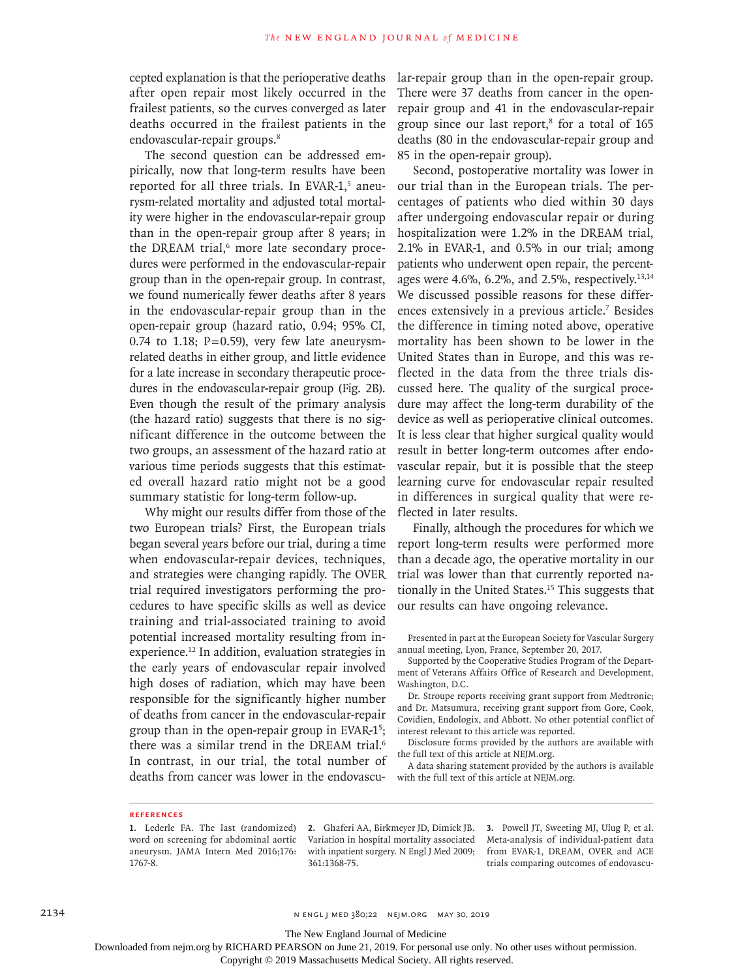cepted explanation is that the perioperative deaths after open repair most likely occurred in the frailest patients, so the curves converged as later deaths occurred in the frailest patients in the endovascular-repair groups.<sup>8</sup>

The second question can be addressed empirically, now that long-term results have been reported for all three trials. In EVAR-1,<sup>5</sup> aneurysm-related mortality and adjusted total mortality were higher in the endovascular-repair group than in the open-repair group after 8 years; in the DREAM trial,<sup>6</sup> more late secondary procedures were performed in the endovascular-repair group than in the open-repair group. In contrast, we found numerically fewer deaths after 8 years in the endovascular-repair group than in the open-repair group (hazard ratio, 0.94; 95% CI, 0.74 to 1.18;  $P=0.59$ ), very few late aneurysmrelated deaths in either group, and little evidence for a late increase in secondary therapeutic procedures in the endovascular-repair group (Fig. 2B). Even though the result of the primary analysis (the hazard ratio) suggests that there is no significant difference in the outcome between the two groups, an assessment of the hazard ratio at various time periods suggests that this estimated overall hazard ratio might not be a good summary statistic for long-term follow-up.

Why might our results differ from those of the two European trials? First, the European trials began several years before our trial, during a time when endovascular-repair devices, techniques, and strategies were changing rapidly. The OVER trial required investigators performing the procedures to have specific skills as well as device training and trial-associated training to avoid potential increased mortality resulting from inexperience.12 In addition, evaluation strategies in the early years of endovascular repair involved high doses of radiation, which may have been responsible for the significantly higher number of deaths from cancer in the endovascular-repair group than in the open-repair group in EVAR-1<sup>5</sup>; there was a similar trend in the DREAM trial.<sup>6</sup> In contrast, in our trial, the total number of deaths from cancer was lower in the endovascular-repair group than in the open-repair group. There were 37 deaths from cancer in the openrepair group and 41 in the endovascular-repair group since our last report,<sup>8</sup> for a total of 165 deaths (80 in the endovascular-repair group and 85 in the open-repair group).

Second, postoperative mortality was lower in our trial than in the European trials. The percentages of patients who died within 30 days after undergoing endovascular repair or during hospitalization were 1.2% in the DREAM trial, 2.1% in EVAR-1, and 0.5% in our trial; among patients who underwent open repair, the percentages were 4.6%, 6.2%, and 2.5%, respectively.13,14 We discussed possible reasons for these differences extensively in a previous article.<sup>7</sup> Besides the difference in timing noted above, operative mortality has been shown to be lower in the United States than in Europe, and this was reflected in the data from the three trials discussed here. The quality of the surgical procedure may affect the long-term durability of the device as well as perioperative clinical outcomes. It is less clear that higher surgical quality would result in better long-term outcomes after endovascular repair, but it is possible that the steep learning curve for endovascular repair resulted in differences in surgical quality that were reflected in later results.

Finally, although the procedures for which we report long-term results were performed more than a decade ago, the operative mortality in our trial was lower than that currently reported nationally in the United States.15 This suggests that our results can have ongoing relevance.

Presented in part at the European Society for Vascular Surgery annual meeting, Lyon, France, September 20, 2017.

Supported by the Cooperative Studies Program of the Department of Veterans Affairs Office of Research and Development, Washington, D.C.

Dr. Stroupe reports receiving grant support from Medtronic; and Dr. Matsumura, receiving grant support from Gore, Cook, Covidien, Endologix, and Abbott. No other potential conflict of interest relevant to this article was reported.

Disclosure forms provided by the authors are available with the full text of this article at NEJM.org.

A data sharing statement provided by the authors is available with the full text of this article at NEJM.org.

#### **References**

**1.** Lederle FA. The last (randomized) word on screening for abdominal aortic aneurysm. JAMA Intern Med 2016;176: 1767-8.

**2.** Ghaferi AA, Birkmeyer JD, Dimick JB. Variation in hospital mortality associated with inpatient surgery. N Engl J Med 2009; 361:1368-75.

**3.** Powell JT, Sweeting MJ, Ulug P, et al. Meta-analysis of individual-patient data from EVAR-1, DREAM, OVER and ACE trials comparing outcomes of endovascu-

2134 **2134** N ENGL | MED 380;22 NEJM.ORG MAY 30, 2019

The New England Journal of Medicine

Downloaded from nejm.org by RICHARD PEARSON on June 21, 2019. For personal use only. No other uses without permission.